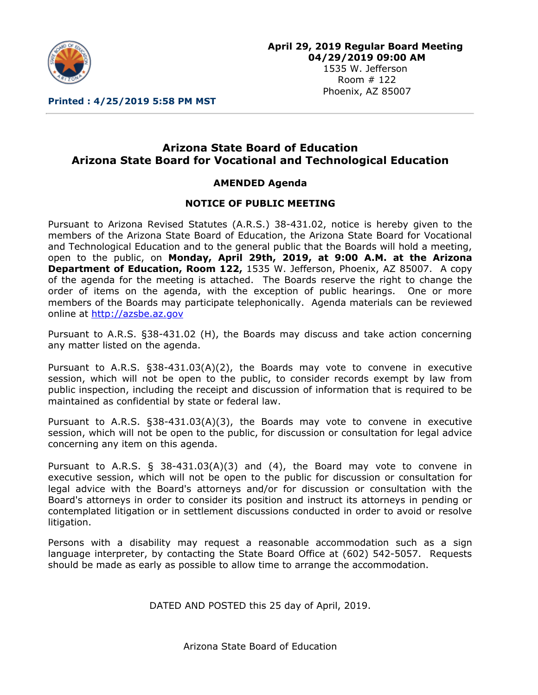

1535 W. Jefferson Room # 122 Phoenix, AZ 85007

**Printed : 4/25/2019 5:58 PM MST**

# **Arizona State Board of Education Arizona State Board for Vocational and Technological Education**

## **AMENDED Agenda**

#### **NOTICE OF PUBLIC MEETING**

Pursuant to Arizona Revised Statutes (A.R.S.) 38-431.02, notice is hereby given to the members of the Arizona State Board of Education, the Arizona State Board for Vocational and Technological Education and to the general public that the Boards will hold a meeting, open to the public, on **Monday, April 29th, 2019, at 9:00 A.M. at the Arizona Department of Education, Room 122,** 1535 W. Jefferson, Phoenix, AZ 85007. A copy of the agenda for the meeting is attached. The Boards reserve the right to change the order of items on the agenda, with the exception of public hearings. One or more members of the Boards may participate telephonically. Agenda materials can be reviewed online at [http://azsbe.az.gov](http://azsbe.az.gov/)

Pursuant to A.R.S. §38-431.02 (H), the Boards may discuss and take action concerning any matter listed on the agenda.

Pursuant to A.R.S. §38-431.03(A)(2), the Boards may vote to convene in executive session, which will not be open to the public, to consider records exempt by law from public inspection, including the receipt and discussion of information that is required to be maintained as confidential by state or federal law.

Pursuant to A.R.S. §38-431.03(A)(3), the Boards may vote to convene in executive session, which will not be open to the public, for discussion or consultation for legal advice concerning any item on this agenda.

Pursuant to A.R.S.  $\S$  38-431.03(A)(3) and (4), the Board may vote to convene in executive session, which will not be open to the public for discussion or consultation for legal advice with the Board's attorneys and/or for discussion or consultation with the Board's attorneys in order to consider its position and instruct its attorneys in pending or contemplated litigation or in settlement discussions conducted in order to avoid or resolve litigation.

Persons with a disability may request a reasonable accommodation such as a sign language interpreter, by contacting the State Board Office at (602) 542-5057. Requests should be made as early as possible to allow time to arrange the accommodation.

DATED AND POSTED this 25 day of April, 2019.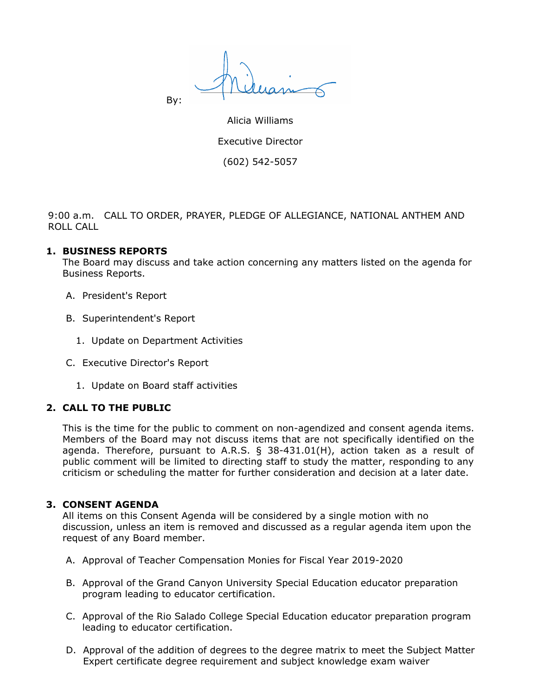By:

Alicia Williams Executive Director (602) 542-5057

9:00 a.m. CALL TO ORDER, PRAYER, PLEDGE OF ALLEGIANCE, NATIONAL ANTHEM AND ROLL CALL

#### **1. BUSINESS REPORTS**

The Board may discuss and take action concerning any matters listed on the agenda for Business Reports.

- A. President's Report
- B. Superintendent's Report
	- 1. Update on Department Activities
- C. Executive Director's Report
	- 1. Update on Board staff activities

#### **2. CALL TO THE PUBLIC**

This is the time for the public to comment on non-agendized and consent agenda items. Members of the Board may not discuss items that are not specifically identified on the agenda. Therefore, pursuant to A.R.S. § 38-431.01(H), action taken as a result of public comment will be limited to directing staff to study the matter, responding to any criticism or scheduling the matter for further consideration and decision at a later date.

#### **3. CONSENT AGENDA**

All items on this Consent Agenda will be considered by a single motion with no discussion, unless an item is removed and discussed as a regular agenda item upon the request of any Board member.

- A. Approval of Teacher Compensation Monies for Fiscal Year 2019-2020
- B. Approval of the Grand Canyon University Special Education educator preparation program leading to educator certification.
- C. Approval of the Rio Salado College Special Education educator preparation program leading to educator certification.
- D. Approval of the addition of degrees to the degree matrix to meet the Subject Matter Expert certificate degree requirement and subject knowledge exam waiver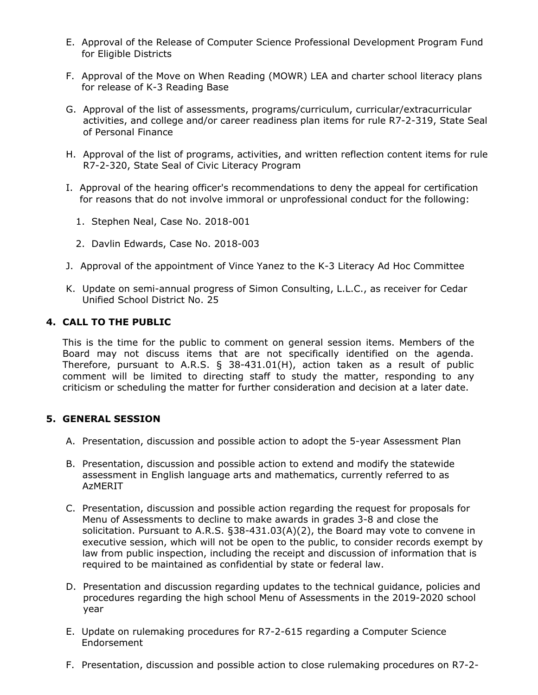- E. Approval of the Release of Computer Science Professional Development Program Fund for Eligible Districts
- F. Approval of the Move on When Reading (MOWR) LEA and charter school literacy plans for release of K-3 Reading Base
- G. Approval of the list of assessments, programs/curriculum, curricular/extracurricular activities, and college and/or career readiness plan items for rule R7-2-319, State Seal of Personal Finance
- H. Approval of the list of programs, activities, and written reflection content items for rule R7-2-320, State Seal of Civic Literacy Program
- I. Approval of the hearing officer's recommendations to deny the appeal for certification for reasons that do not involve immoral or unprofessional conduct for the following:
	- 1. Stephen Neal, Case No. 2018-001
	- 2. Davlin Edwards, Case No. 2018-003
- J. Approval of the appointment of Vince Yanez to the K-3 Literacy Ad Hoc Committee
- K. Update on semi-annual progress of Simon Consulting, L.L.C., as receiver for Cedar Unified School District No. 25

### **4. CALL TO THE PUBLIC**

This is the time for the public to comment on general session items. Members of the Board may not discuss items that are not specifically identified on the agenda. Therefore, pursuant to A.R.S. § 38-431.01(H), action taken as a result of public comment will be limited to directing staff to study the matter, responding to any criticism or scheduling the matter for further consideration and decision at a later date.

#### **5. GENERAL SESSION**

- A. Presentation, discussion and possible action to adopt the 5-year Assessment Plan
- B. Presentation, discussion and possible action to extend and modify the statewide assessment in English language arts and mathematics, currently referred to as AzMERIT
- C. Presentation, discussion and possible action regarding the request for proposals for Menu of Assessments to decline to make awards in grades 3-8 and close the solicitation. Pursuant to A.R.S. §38-431.03(A)(2), the Board may vote to convene in executive session, which will not be open to the public, to consider records exempt by law from public inspection, including the receipt and discussion of information that is required to be maintained as confidential by state or federal law.
- D. Presentation and discussion regarding updates to the technical guidance, policies and procedures regarding the high school Menu of Assessments in the 2019-2020 school year
- E. Update on rulemaking procedures for R7-2-615 regarding a Computer Science Endorsement
- F. Presentation, discussion and possible action to close rulemaking procedures on R7-2-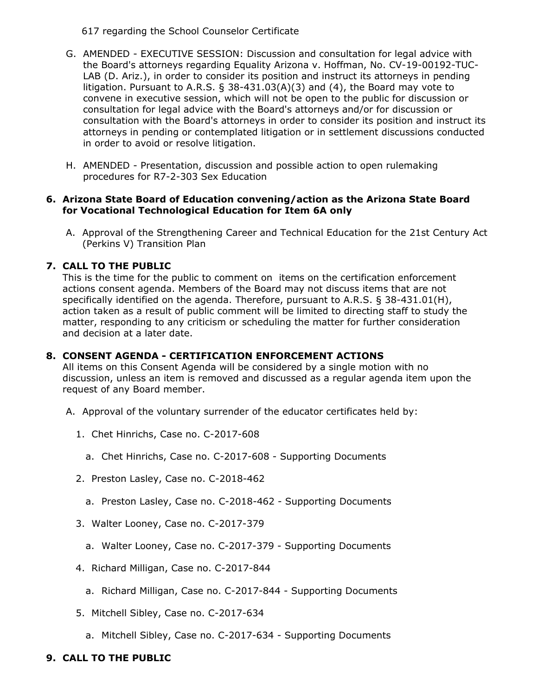617 regarding the School Counselor Certificate

- G. AMENDED EXECUTIVE SESSION: Discussion and consultation for legal advice with the Board's attorneys regarding Equality Arizona v. Hoffman, No. CV-19-00192-TUC-LAB (D. Ariz.), in order to consider its position and instruct its attorneys in pending litigation. Pursuant to A.R.S. § 38-431.03(A)(3) and (4), the Board may vote to convene in executive session, which will not be open to the public for discussion or consultation for legal advice with the Board's attorneys and/or for discussion or consultation with the Board's attorneys in order to consider its position and instruct its attorneys in pending or contemplated litigation or in settlement discussions conducted in order to avoid or resolve litigation.
- H. AMENDED Presentation, discussion and possible action to open rulemaking procedures for R7-2-303 Sex Education

#### **6. Arizona State Board of Education convening/action as the Arizona State Board for Vocational Technological Education for Item 6A only**

A. Approval of the Strengthening Career and Technical Education for the 21st Century Act (Perkins V) Transition Plan

## **7. CALL TO THE PUBLIC**

This is the time for the public to comment on items on the certification enforcement actions consent agenda. Members of the Board may not discuss items that are not specifically identified on the agenda. Therefore, pursuant to A.R.S. § 38-431.01(H), action taken as a result of public comment will be limited to directing staff to study the matter, responding to any criticism or scheduling the matter for further consideration and decision at a later date.

## **8. CONSENT AGENDA - CERTIFICATION ENFORCEMENT ACTIONS**

All items on this Consent Agenda will be considered by a single motion with no discussion, unless an item is removed and discussed as a regular agenda item upon the request of any Board member.

- A. Approval of the voluntary surrender of the educator certificates held by:
	- 1. Chet Hinrichs, Case no. C-2017-608
		- a. Chet Hinrichs, Case no. C-2017-608 Supporting Documents
	- 2. Preston Lasley, Case no. C-2018-462
		- a. Preston Lasley, Case no. C-2018-462 Supporting Documents
	- 3. Walter Looney, Case no. C-2017-379
		- a. Walter Looney, Case no. C-2017-379 Supporting Documents
	- 4. Richard Milligan, Case no. C-2017-844
		- a. Richard Milligan, Case no. C-2017-844 Supporting Documents
	- 5. Mitchell Sibley, Case no. C-2017-634
		- a. Mitchell Sibley, Case no. C-2017-634 Supporting Documents

## **9. CALL TO THE PUBLIC**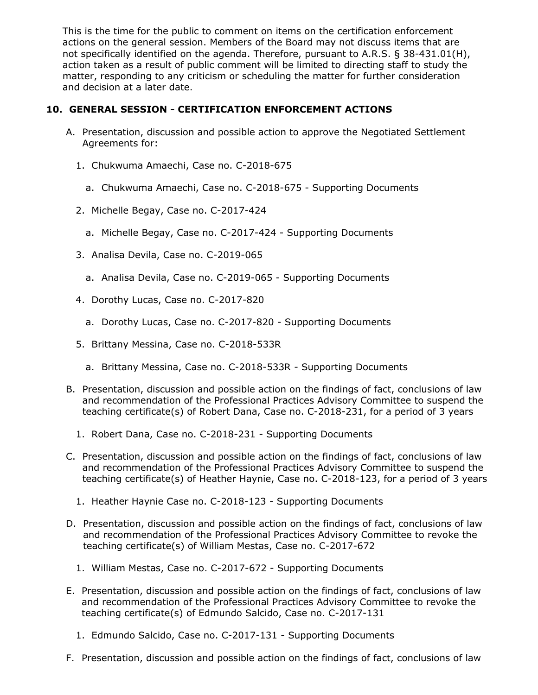This is the time for the public to comment on items on the certification enforcement actions on the general session. Members of the Board may not discuss items that are not specifically identified on the agenda. Therefore, pursuant to A.R.S. § 38-431.01(H), action taken as a result of public comment will be limited to directing staff to study the matter, responding to any criticism or scheduling the matter for further consideration and decision at a later date.

### **10. GENERAL SESSION - CERTIFICATION ENFORCEMENT ACTIONS**

- A. Presentation, discussion and possible action to approve the Negotiated Settlement Agreements for:
	- 1. Chukwuma Amaechi, Case no. C-2018-675
		- a. Chukwuma Amaechi, Case no. C-2018-675 Supporting Documents
	- 2. Michelle Begay, Case no. C-2017-424
		- a. Michelle Begay, Case no. C-2017-424 Supporting Documents
	- 3. Analisa Devila, Case no. C-2019-065
		- a. Analisa Devila, Case no. C-2019-065 Supporting Documents
	- 4. Dorothy Lucas, Case no. C-2017-820
		- a. Dorothy Lucas, Case no. C-2017-820 Supporting Documents
	- 5. Brittany Messina, Case no. C-2018-533R
		- a. Brittany Messina, Case no. C-2018-533R Supporting Documents
- B. Presentation, discussion and possible action on the findings of fact, conclusions of law and recommendation of the Professional Practices Advisory Committee to suspend the teaching certificate(s) of Robert Dana, Case no. C-2018-231, for a period of 3 years
	- 1. Robert Dana, Case no. C-2018-231 Supporting Documents
- C. Presentation, discussion and possible action on the findings of fact, conclusions of law and recommendation of the Professional Practices Advisory Committee to suspend the teaching certificate(s) of Heather Haynie, Case no. C-2018-123, for a period of 3 years
	- 1. Heather Haynie Case no. C-2018-123 Supporting Documents
- D. Presentation, discussion and possible action on the findings of fact, conclusions of law and recommendation of the Professional Practices Advisory Committee to revoke the teaching certificate(s) of William Mestas, Case no. C-2017-672
	- 1. William Mestas, Case no. C-2017-672 Supporting Documents
- E. Presentation, discussion and possible action on the findings of fact, conclusions of law and recommendation of the Professional Practices Advisory Committee to revoke the teaching certificate(s) of Edmundo Salcido, Case no. C-2017-131
	- 1. Edmundo Salcido, Case no. C-2017-131 Supporting Documents
- F. Presentation, discussion and possible action on the findings of fact, conclusions of law